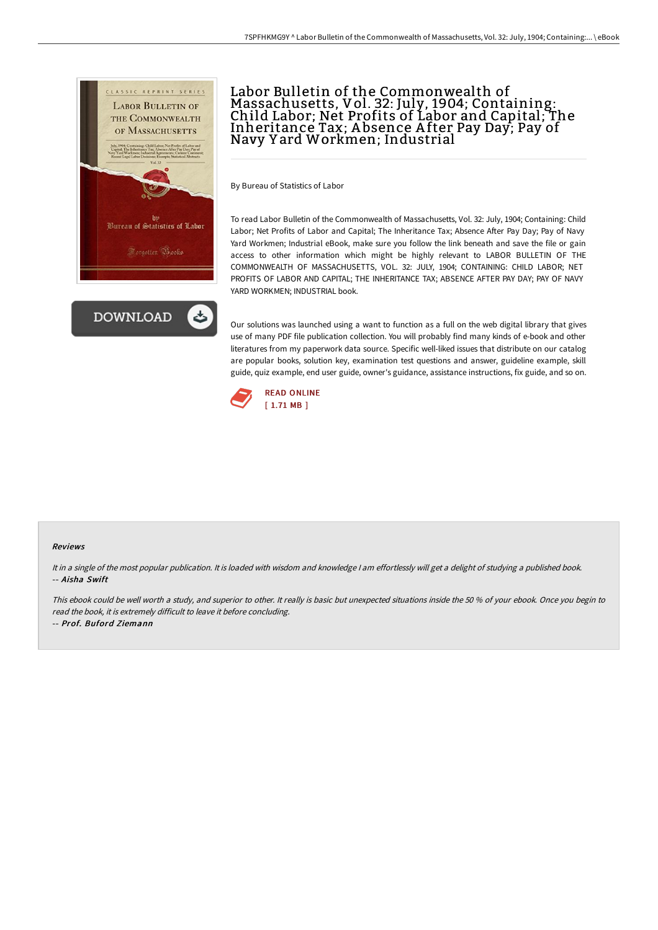



# Labor Bulletin of the Commonwealth of Massachusetts, Vol. 32: July, 1904; Containing: Child Labor; Net Profits of Labor and Capital; The Inheritance Tax; A bsence A fter Pay Day; Pay of Navy Y ard Workmen; Industrial

By Bureau of Statistics of Labor

To read Labor Bulletin of the Commonwealth of Massachusetts, Vol. 32: July, 1904; Containing: Child Labor; Net Profits of Labor and Capital; The Inheritance Tax; Absence After Pay Day; Pay of Navy Yard Workmen; Industrial eBook, make sure you follow the link beneath and save the file or gain access to other information which might be highly relevant to LABOR BULLETIN OF THE COMMONWEALTH OF MASSACHUSETTS, VOL. 32: JULY, 1904; CONTAINING: CHILD LABOR; NET PROFITS OF LABOR AND CAPITAL; THE INHERITANCE TAX; ABSENCE AFTER PAY DAY; PAY OF NAVY YARD WORKMEN; INDUSTRIAL book.

Our solutions was launched using a want to function as a full on the web digital library that gives use of many PDF file publication collection. You will probably find many kinds of e-book and other literatures from my paperwork data source. Specific well-liked issues that distribute on our catalog are popular books, solution key, examination test questions and answer, guideline example, skill guide, quiz example, end user guide, owner's guidance, assistance instructions, fix guide, and so on.



#### Reviews

It in <sup>a</sup> single of the most popular publication. It is loaded with wisdom and knowledge <sup>I</sup> am effortlessly will get <sup>a</sup> delight of studying <sup>a</sup> published book. -- Aisha Swift

This ebook could be well worth <sup>a</sup> study, and superior to other. It really is basic but unexpected situations inside the <sup>50</sup> % of your ebook. Once you begin to read the book, it is extremely difficult to leave it before concluding.

-- Prof. Buford Ziemann